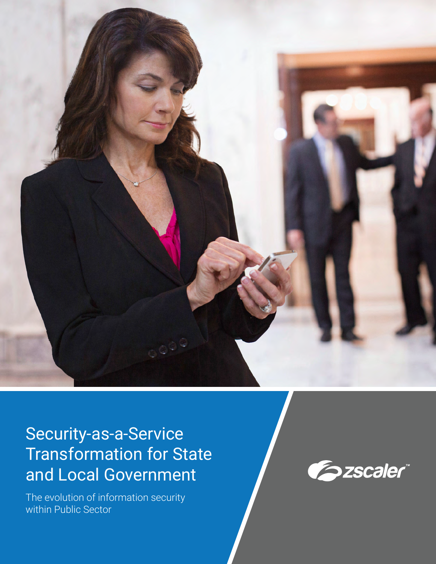

# Security-as-a-Service Transformation for State and Local Government

The evolution of information security within Public Sector

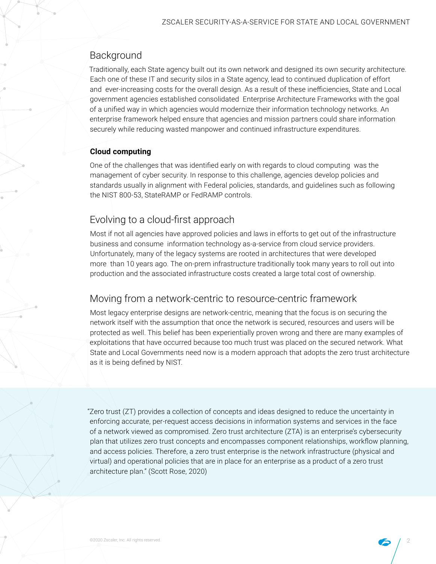# Background

Traditionally, each State agency built out its own network and designed its own security architecture. Each one of these IT and security silos in a State agency, lead to continued duplication of effort and ever-increasing costs for the overall design. As a result of these inefficiencies, State and Local government agencies established consolidated Enterprise Architecture Frameworks with the goal of a unified way in which agencies would modernize their information technology networks. An enterprise framework helped ensure that agencies and mission partners could share information securely while reducing wasted manpower and continued infrastructure expenditures.

## **Cloud computing**

One of the challenges that was identified early on with regards to cloud computing was the management of cyber security. In response to this challenge, agencies develop policies and standards usually in alignment with Federal policies, standards, and guidelines such as following the NIST 800-53, StateRAMP or FedRAMP controls.

# Evolving to a cloud-first approach

Most if not all agencies have approved policies and laws in efforts to get out of the infrastructure business and consume information technology as-a-service from cloud service providers. Unfortunately, many of the legacy systems are rooted in architectures that were developed more than 10 years ago. The on-prem infrastructure traditionally took many years to roll out into production and the associated infrastructure costs created a large total cost of ownership.

# Moving from a network-centric to resource-centric framework

Most legacy enterprise designs are network-centric, meaning that the focus is on securing the network itself with the assumption that once the network is secured, resources and users will be protected as well. This belief has been experientially proven wrong and there are many examples of exploitations that have occurred because too much trust was placed on the secured network. What State and Local Governments need now is a modern approach that adopts the zero trust architecture as it is being defined by NIST.

"Zero trust (ZT) provides a collection of concepts and ideas designed to reduce the uncertainty in enforcing accurate, per-request access decisions in information systems and services in the face of a network viewed as compromised. Zero trust architecture (ZTA) is an enterprise's cybersecurity plan that utilizes zero trust concepts and encompasses component relationships, workflow planning, and access policies. Therefore, a zero trust enterprise is the network infrastructure (physical and virtual) and operational policies that are in place for an enterprise as a product of a zero trust architecture plan." (Scott Rose, 2020)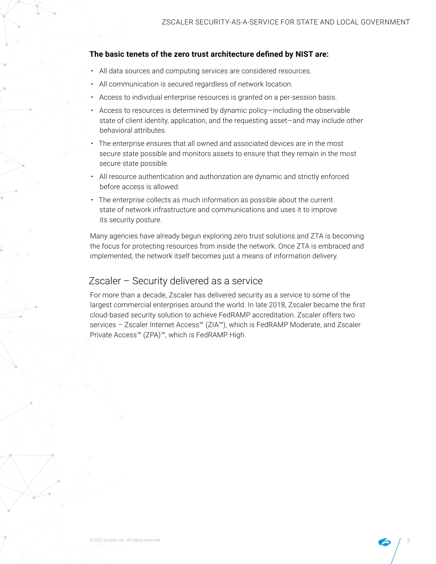#### **The basic tenets of the zero trust architecture defined by NIST are:**

- All data sources and computing services are considered resources.
- All communication is secured regardless of network location.
- Access to individual enterprise resources is granted on a per-session basis.
- Access to resources is determined by dynamic policy—including the observable state of client identity, application, and the requesting asset—and may include other behavioral attributes.
- The enterprise ensures that all owned and associated devices are in the most secure state possible and monitors assets to ensure that they remain in the most secure state possible.
- All resource authentication and authorization are dynamic and strictly enforced before access is allowed.
- The enterprise collects as much information as possible about the current state of network infrastructure and communications and uses it to improve its security posture.

Many agencies have already begun exploring zero trust solutions and ZTA is becoming the focus for protecting resources from inside the network. Once ZTA is embraced and implemented, the network itself becomes just a means of information delivery.

## Zscaler – Security delivered as a service

For more than a decade, Zscaler has delivered security as a service to some of the largest commercial enterprises around the world. In late 2018, Zscaler became the first cloud-based security solution to achieve FedRAMP accreditation. Zscaler offers two services - Zscaler Internet Access™ (ZIA™), which is FedRAMP Moderate, and Zscaler Private Access™ (ZPA)™, which is FedRAMP High.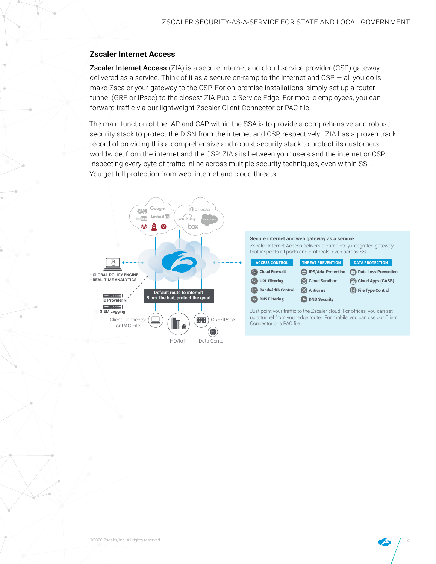### **Zscaler Internet Access**

**Zscaler Internet Access** (ZIA) is a secure internet and cloud service provider (CSP) gateway delivered as a service. Think of it as a secure on-ramp to the internet and CSP — all you do is make Zscaler your gateway to the CSP. For on-premise installations, simply set up a router tunnel (GRE or IPsec) to the closest ZIA Public Service Edge. For mobile employees, you can forward traffic via our lightweight Zscaler Client Connector or PAC file.

The main function of the IAP and CAP within the SSA is to provide a comprehensive and robust security stack to protect the DISN from the internet and CSP, respectively. ZIA has a proven track record of providing this a comprehensive and robust security stack to protect its customers worldwide, from the internet and the CSP. ZIA sits between your users and the internet or CSP, inspecting every byte of traffic inline across multiple security techniques, even within SSL. You get full protection from web, internet and cloud threats.

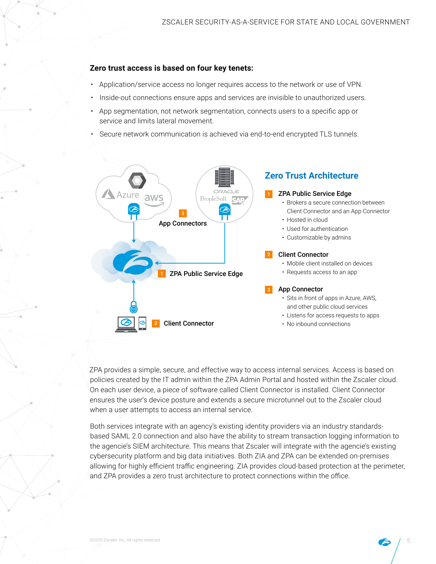#### **Zero trust access is based on four key tenets:**

- Application/service access no longer requires access to the network or use of VPN.
- Inside-out connections ensure apps and services are invisible to unauthorized users.
- App segmentation, not network segmentation, connects users to a specific app or service and limits lateral movement.
- Secure network communication is achieved via end-to-end encrypted TLS tunnels.



ZPA provides a simple, secure, and effective way to access internal services. Access is based on policies created by the IT admin within the ZPA Admin Portal and hosted within the Zscaler cloud. On each user device, a piece of software called Client Connector is installed. Client Connector ensures the user's device posture and extends a secure microtunnel out to the Zscaler cloud when a user attempts to access an internal service.

Both services integrate with an agency's existing identity providers via an industry standardsbased SAML 2.0 connection and also have the ability to stream transaction logging information to the agencie's SIEM architecture. This means that Zscaler will integrate with the agencie's existing cybersecurity platform and big data initiatives. Both ZIA and ZPA can be extended on-premises allowing for highly efficient traffic engineering. ZIA provides cloud-based protection at the perimeter, and ZPA provides a zero trust architecture to protect connections within the office.